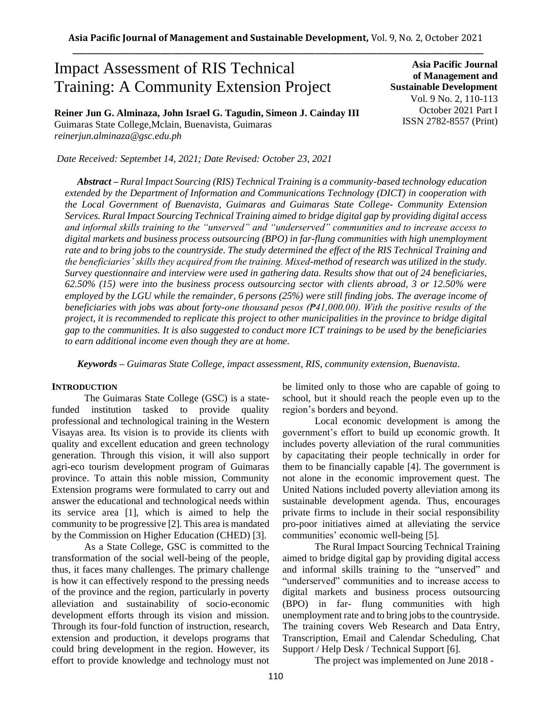# Impact Assessment of RIS Technical Training: A Community Extension Project

**Reiner Jun G. Alminaza, John Israel G. Tagudin, Simeon J. Cainday III** Guimaras State College,Mclain, Buenavista, Guimaras *reinerjun.alminaza@gsc.edu.ph*

**Asia Pacific Journal of Management and Sustainable Development**  Vol. 9 No. 2, 110-113 October 2021 Part I ISSN 2782-8557 (Print)

*Date Received: Septembet 14, 2021; Date Revised: October 23, 2021*

*Abstract – Rural Impact Sourcing (RIS) Technical Training is a community-based technology education extended by the Department of Information and Communications Technology (DICT) in cooperation with the Local Government of Buenavista, Guimaras and Guimaras State College- Community Extension Services. Rural Impact Sourcing Technical Training aimed to bridge digital gap by providing digital access and informal skills training to the "unserved" and "underserved" communities and to increase access to digital markets and business process outsourcing (BPO) in far-flung communities with high unemployment rate and to bring jobs to the countryside. The study determined the effect of the RIS Technical Training and the beneficiaries' skills they acquired from the training. Mixed-method of research was utilized in the study. Survey questionnaire and interview were used in gathering data. Results show that out of 24 beneficiaries, 62.50% (15) were into the business process outsourcing sector with clients abroad, 3 or 12.50% were employed by the LGU while the remainder, 6 persons (25%) were still finding jobs. The average income of beneficiaries with jobs was about forty-one thousand pesos (₱41,000.00). With the positive results of the project, it is recommended to replicate this project to other municipalities in the province to bridge digital gap to the communities. It is also suggested to conduct more ICT trainings to be used by the beneficiaries to earn additional income even though they are at home.*

*Keywords – Guimaras State College, impact assessment, RIS, community extension, Buenavista.* 

#### **INTRODUCTION**

The Guimaras State College (GSC) is a statefunded institution tasked to provide quality professional and technological training in the Western Visayas area. Its vision is to provide its clients with quality and excellent education and green technology generation. Through this vision, it will also support agri-eco tourism development program of Guimaras province. To attain this noble mission, Community Extension programs were formulated to carry out and answer the educational and technological needs within its service area [1], which is aimed to help the community to be progressive [2]. This area is mandated by the Commission on Higher Education (CHED) [3].

As a State College, GSC is committed to the transformation of the social well-being of the people, thus, it faces many challenges. The primary challenge is how it can effectively respond to the pressing needs of the province and the region, particularly in poverty alleviation and sustainability of socio-economic development efforts through its vision and mission. Through its four-fold function of instruction, research, extension and production, it develops programs that could bring development in the region. However, its effort to provide knowledge and technology must not be limited only to those who are capable of going to school, but it should reach the people even up to the region's borders and beyond.

Local economic development is among the government's effort to build up economic growth. It includes poverty alleviation of the rural communities by capacitating their people technically in order for them to be financially capable [4]. The government is not alone in the economic improvement quest. The United Nations included poverty alleviation among its sustainable development agenda. Thus, encourages private firms to include in their social responsibility pro-poor initiatives aimed at alleviating the service communities' economic well-being [5].

The Rural Impact Sourcing Technical Training aimed to bridge digital gap by providing digital access and informal skills training to the "unserved" and "underserved" communities and to increase access to digital markets and business process outsourcing (BPO) in far- flung communities with high unemployment rate and to bring jobs to the countryside. The training covers Web Research and Data Entry, Transcription, Email and Calendar Scheduling, Chat Support / Help Desk / Technical Support [6].

The project was implemented on June 2018 -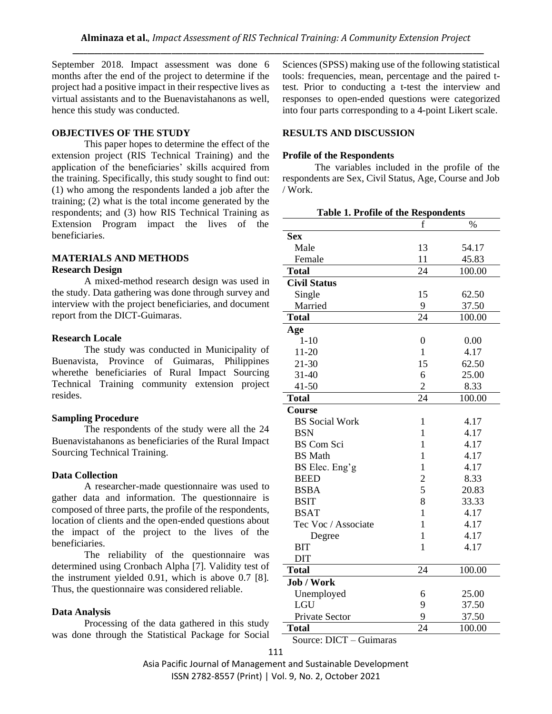September 2018. Impact assessment was done 6 months after the end of the project to determine if the project had a positive impact in their respective lives as virtual assistants and to the Buenavistahanons as well, hence this study was conducted.

## **OBJECTIVES OF THE STUDY**

This paper hopes to determine the effect of the extension project (RIS Technical Training) and the application of the beneficiaries' skills acquired from the training. Specifically, this study sought to find out: (1) who among the respondents landed a job after the training; (2) what is the total income generated by the respondents; and (3) how RIS Technical Training as Extension Program impact the lives of the beneficiaries.

## **MATERIALS AND METHODS Research Design**

A mixed-method research design was used in the study. Data gathering was done through survey and interview with the project beneficiaries, and document report from the DICT-Guimaras.

## **Research Locale**

The study was conducted in Municipality of Buenavista, Province of Guimaras, Philippines where the beneficiaries of Rural Impact Sourcing Technical Training community extension project resides.

## **Sampling Procedure**

The respondents of the study were all the 24 Buenavistahanons as beneficiaries of the Rural Impact Sourcing Technical Training.

## **Data Collection**

A researcher-made questionnaire was used to gather data and information. The questionnaire is composed of three parts, the profile of the respondents, location of clients and the open-ended questions about the impact of the project to the lives of the beneficiaries.

The reliability of the questionnaire was determined using Cronbach Alpha [7]. Validity test of the instrument yielded 0.91, which is above 0.7 [8]. Thus, the questionnaire was considered reliable.

## **Data Analysis**

Processing of the data gathered in this study was done through the Statistical Package for Social Sciences (SPSS) making use of the following statistical tools: frequencies, mean, percentage and the paired ttest. Prior to conducting a t-test the interview and responses to open-ended questions were categorized into four parts corresponding to a 4-point Likert scale.

## **RESULTS AND DISCUSSION**

### **Profile of the Respondents**

The variables included in the profile of the respondents are Sex, Civil Status, Age, Course and Job / Work.

| <b>Table 1. Profile of the Respondents</b> |                |        |
|--------------------------------------------|----------------|--------|
|                                            | f              | $\%$   |
| <b>Sex</b>                                 |                |        |
| Male                                       | 13             | 54.17  |
| Female                                     | 11             | 45.83  |
| <b>Total</b>                               | 24             | 100.00 |
| <b>Civil Status</b>                        |                |        |
| Single                                     | 15             | 62.50  |
| Married                                    | 9              | 37.50  |
| <b>Total</b>                               | 24             | 100.00 |
| Age                                        |                |        |
| $1 - 10$                                   | $\overline{0}$ | 0.00   |
| $11 - 20$                                  | 1              | 4.17   |
| 21-30                                      | 15             | 62.50  |
| $31 - 40$                                  | 6              | 25.00  |
| $41 - 50$                                  | $\overline{c}$ | 8.33   |
| <b>Total</b>                               | 24             | 100.00 |
| Course                                     |                |        |
| <b>BS</b> Social Work                      | 1              | 4.17   |
| <b>BSN</b>                                 | 1              | 4.17   |
| <b>BS</b> Com Sci                          | 1              | 4.17   |
| <b>BS</b> Math                             | 1              | 4.17   |
| BS Elec. Eng'g                             | 1              | 4.17   |
| <b>BEED</b>                                | $\overline{c}$ | 8.33   |
| <b>BSBA</b>                                | 5              | 20.83  |
| <b>BSIT</b>                                | 8              | 33.33  |
| <b>BSAT</b>                                | 1              | 4.17   |
| Tec Voc / Associate                        | 1              | 4.17   |
| Degree                                     | 1              | 4.17   |
| BIT                                        | 1              | 4.17   |
| <b>DIT</b>                                 |                |        |
| <b>Total</b>                               | 24             | 100.00 |
| Job / Work                                 |                |        |
| Unemployed                                 | 6              | 25.00  |
| <b>LGU</b>                                 | 9              | 37.50  |
| Private Sector                             | 9              | 37.50  |
| <b>Total</b>                               | 24             | 100.00 |

Source: DICT – Guimaras

Asia Pacific Journal of Management and Sustainable Development ISSN 2782-8557 (Print) | Vol. 9, No. 2, October 2021

111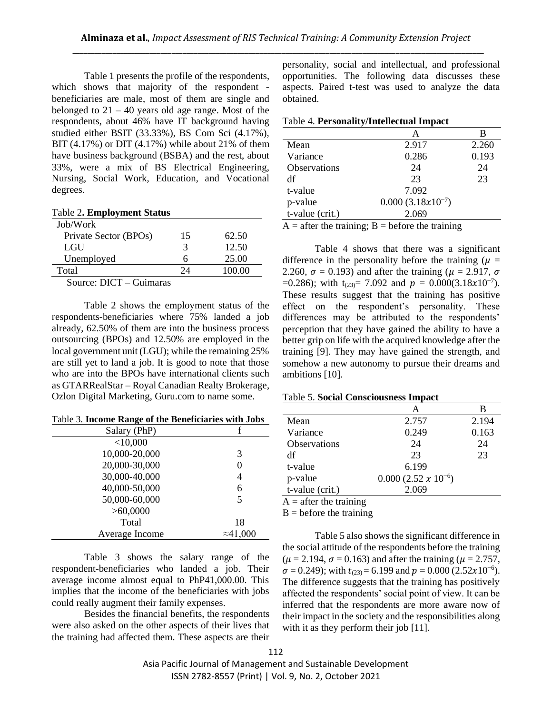Table 1 presents the profile of the respondents, which shows that majority of the respondent beneficiaries are male, most of them are single and belonged to  $21 - 40$  years old age range. Most of the respondents, about 46% have IT background having studied either BSIT (33.33%), BS Com Sci (4.17%), BIT  $(4.17\%)$  or DIT  $(4.17\%)$  while about 21% of them have business background (BSBA) and the rest, about 33%, were a mix of BS Electrical Engineering, Nursing, Social Work, Education, and Vocational degrees.

| <b>Table 2. Employment Status</b> |  |  |  |
|-----------------------------------|--|--|--|
|-----------------------------------|--|--|--|

| Job/Work              |                      |        |
|-----------------------|----------------------|--------|
| Private Sector (BPOs) | 15                   | 62.50  |
| LGU                   |                      | 12.50  |
| Unemployed            |                      | 25.00  |
| Total                 | $\gamma_{\varDelta}$ | 100.00 |
| $\sim$                |                      |        |

Source: DICT – Guimaras

Table 2 shows the employment status of the respondents-beneficiaries where 75% landed a job already, 62.50% of them are into the business process outsourcing (BPOs) and 12.50% are employed in the local government unit (LGU); while the remaining 25% are still yet to land a job. It is good to note that those who are into the BPOs have international clients such as GTARRealStar – Royal Canadian Realty Brokerage, Ozlon Digital Marketing, Guru.com to name some.

|  | Table 3. Income Range of the Beneficiaries with Jobs |  |  |  |
|--|------------------------------------------------------|--|--|--|
|--|------------------------------------------------------|--|--|--|

| Salary (PhP)   |                  |
|----------------|------------------|
| $<$ 10,000     |                  |
| 10,000-20,000  | 3                |
| 20,000-30,000  | 0                |
| 30,000-40,000  | 4                |
| 40,000-50,000  | 6                |
| 50,000-60,000  | 5                |
| >60,0000       |                  |
| Total          | 18               |
| Average Income | $\approx 41,000$ |

Table 3 shows the salary range of the respondent-beneficiaries who landed a job. Their average income almost equal to PhP41,000.00. This implies that the income of the beneficiaries with jobs could really augment their family expenses.

Besides the financial benefits, the respondents were also asked on the other aspects of their lives that the training had affected them. These aspects are their personality, social and intellectual, and professional opportunities. The following data discusses these aspects. Paired t-test was used to analyze the data obtained.

#### Table 4. **Personality/Intellectual Impact**

|                     | А                     | В     |
|---------------------|-----------------------|-------|
| Mean                | 2.917                 | 2.260 |
| Variance            | 0.286                 | 0.193 |
| <b>Observations</b> | 24                    | 24    |
| df                  | 23                    | 23    |
| t-value             | 7.092                 |       |
| p-value             | $0.000(3.18x10^{-7})$ |       |
| t-value (crit.)     | 2.069                 |       |
|                     |                       |       |

 $A =$  after the training;  $B =$  before the training

Table 4 shows that there was a significant difference in the personality before the training ( $\mu$  = 2.260,  $\sigma$  = 0.193) and after the training ( $\mu$  = 2.917,  $\sigma$ =0.286); with  $t_{(23)} = 7.092$  and  $p = 0.000(3.18x10^{-7})$ . These results suggest that the training has positive effect on the respondent's personality. These differences may be attributed to the respondents' perception that they have gained the ability to have a better grip on life with the acquired knowledge after the training [9]. They may have gained the strength, and somehow a new autonomy to pursue their dreams and ambitions [10].

### Table 5. **Social Consciousness Impact**

|                          |                              | в     |
|--------------------------|------------------------------|-------|
| Mean                     | 2.757                        | 2.194 |
| Variance                 | 0.249                        | 0.163 |
| <b>Observations</b>      | 24                           | 24    |
| df                       | 23                           | 23    |
| t-value                  | 6.199                        |       |
| p-value                  | $0.000(2.52 \times 10^{-6})$ |       |
| t-value (crit.)          | 2.069                        |       |
| $A =$ after the training |                              |       |

 $B = \text{before}$  the training

Table 5 also shows the significant difference in the social attitude of the respondents before the training  $(\mu = 2.194, \sigma = 0.163)$  and after the training ( $\mu = 2.757$ ,  $\sigma = 0.249$ ); with  $t_{(23)} = 6.199$  and  $p = 0.000$  (2.52x10<sup>-6</sup>). The difference suggests that the training has positively affected the respondents' social point of view. It can be inferred that the respondents are more aware now of their impact in the society and the responsibilities along with it as they perform their job [11].

Asia Pacific Journal of Management and Sustainable Development ISSN 2782-8557 (Print) | Vol. 9, No. 2, October 2021